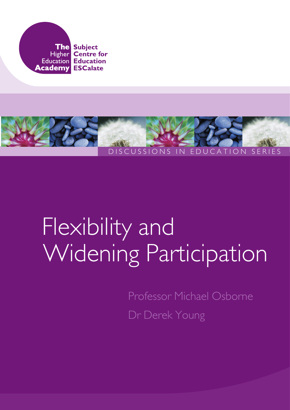



# Flexibility and Widening Participation

Professor Michael Osborne Dr Derek Young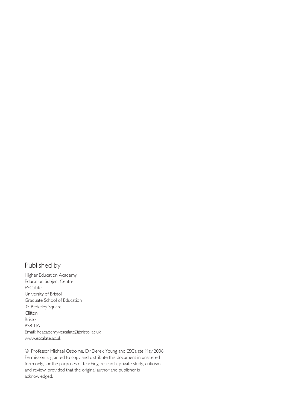#### Published by

Higher Education Academy Education Subject Centre ESCalate University of Bristol Graduate School of Education 35 Berkeley Square Clifton Bristol BS8 1JA Email: heacademy-escalate@bristol.ac.uk www.escalate.ac.uk

© Professor Michael Osborne, Dr Derek Young and ESCalate May 2006 Permission is granted to copy and distribute this document in unaltered form only, for the purposes of teaching, research, private study, criticism and review, provided that the original author and publisher is acknowledged.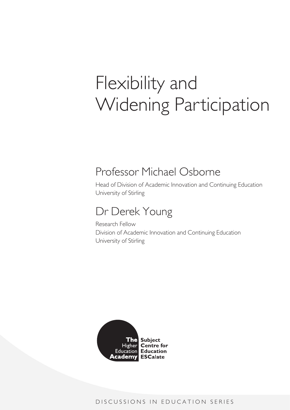# Flexibility and Widening Participation

### Professor Michael Osborne

Head of Division of Academic Innovation and Continuing Education University of Stirling

## Dr Derek Young

Research Fellow Division of Academic Innovation and Continuing Education University of Stirling

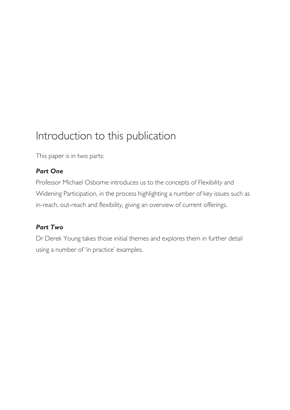## Introduction to this publication

This paper is in two parts:

#### *Part One*

Professor Michael Osborne introduces us to the concepts of Flexibility and Widening Participation, in the process highlighting a number of key issues such as in-reach, out-reach and flexibility, giving an overview of current offerings.

#### *Part Two*

Dr Derek Young takes those initial themes and explores them in further detail using a number of 'in practice' examples.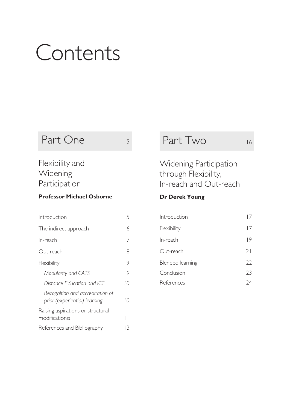# Contents

## Part One 5

### Flexibility and Widening Participation

#### **Professor Michael Osborne**

| Introduction                                                      | 5  |
|-------------------------------------------------------------------|----|
| The indirect approach                                             | 6  |
| In-reach                                                          | 7  |
| Out-reach                                                         | 8  |
| Flexibility                                                       | 9  |
| Modularity and CATS                                               | 9  |
| Distance Education and ICT                                        | 10 |
| Recognition and accreditation of<br>prior (experiential) learning | 10 |
| Raising aspirations or structural<br>modifications?               |    |
| References and Bibliography                                       | 13 |

## Part Two 16

Widening Participation through Flexibility, In-reach and Out-reach

#### **Dr Derek Young**

| Introduction            |    |
|-------------------------|----|
| Flexibility             | 17 |
| In-reach                | 19 |
| Out-reach               | 21 |
| <b>Blended learning</b> | 22 |
| Conclusion              | 23 |
| References              | 74 |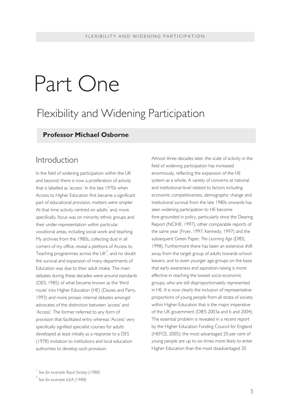# Part One

## Flexibility and Widening Participation

#### **Professor Michael Osborne**

#### Introduction

In the field of widening participation within the UK and beyond, there is now a proliferation of activity that is labelled as 'access'. In the late 1970s when Access to Higher Education first became a significant part of educational provision, matters were simpler. At that time activity centred on adults $^{\mid}$  and, more specifically, focus was on minority ethnic groups and their under-representation within particular vocational areas, including social work and teaching. My archives from the 1980s, collecting dust in all corners of my office, reveal a plethora of Access to Teaching programmes across the UK $^2$ , and no doubt the survival and expansion of many departments of Education was due to their adult intake. The main debates during these decades were around standards (DES, 1985) of what became known as the 'third route' into Higher Education (HE) (Davies and Parry, 1993) and more prosaic internal debates amongst advocates of the distinction between 'access' and 'Access'. The former referred to any form of provision that facilitated entry whereas 'Access' very specifically signified specialist courses for adults developed at least initially as a response to a DES (1978) invitation to institutions and local education authorities to develop such provision.

Almost three decades later, the scale of activity in the field of widening participation has increased enormously, reflecting the expansion of the HE system as a whole. A variety of concerns at national and institutional level related to factors including economic competitiveness, demographic change and institutional survival from the late 1980s onwards has seen widening participation to HE become fore-grounded in policy, particularly since the Dearing Report (NCIHE, 1997), other comparable reports of the same year (Fryer, 1997; Kennedy, 1997) and the subsequent Green Paper, *The Learning Age* (DfEE, 1998). Furthermore there has been an extensive shift away from the target group of adults towards schoolleavers, and to even younger age-groups on the basis that early awareness and aspiration-raising is more effective in reaching the lowest socio-economic groups, who are still disproportionately represented in HE. It is now clearly the inclusion of representative proportions of young people from all strata of society within Higher Education that is the major imperative of the UK government (DfES 2003a and b and 2004). The essential problem is revealed in a recent report by the Higher Education Funding Council for England (HEFCE, 2005); the most advantaged 20 per cent of young people are up to six times more likely to enter Higher Education than the most disadvantaged 20

<sup>1</sup> *See for example Royal Society (1988)*

<sup>2</sup> *See for example ILEA (1988)*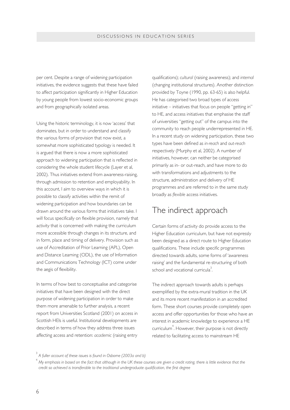per cent. Despite a range of widening participation initiatives, the evidence suggests that these have failed to affect participation significantly in Higher Education by young people from lowest socio-economic groups and from geographically isolated areas.

Using the historic terminology, it is now 'access' that dominates, but in order to understand and classify the various forms of provision that now exist, a somewhat more sophisticated typology is needed. It is argued that there is now a more sophisticated approach to widening participation that is reflected in considering the whole student lifecycle (Layer et al, 2002). Thus initiatives extend from awareness-raising, through admission to retention and employability. In this account, I aim to overview ways in which it is possible to classify activities within the remit of widening participation and how boundaries can be drawn around the various forms that initiatives take. I will focus specifically on flexible provision, namely that activity that is concerned with making the curriculum more accessible through changes in its structure, and in form, place and timing of delivery. Provision such as use of Accreditation of Prior Learning (APL), Open and Distance Learning (ODL), the use of Information and Communications Technology (ICT) come under the aegis of flexibility.

In terms of how best to conceptualise and categorise initiatives that have been designed with the direct purpose of widening participation in order to make them more amenable to further analysis, a recent report from Universities Scotland (2001) on access in Scottish HEIs is useful. Institutional developments are described in terms of how they address three issues affecting access and retention: *academic* (raising entry

qualifications); *cultural* (raising awareness); and *internal* (changing institutional structures). Another distinction provided by Toyne (1990, pp. 63-65) is also helpful. He has categorised two broad types of access initiative – initiatives that focus on people "getting in" to HE, and access initiatives that emphasise the staff of universities "getting out" of the campus into the community to reach people underrepresented in HE. In a recent study on widening participation, these two types have been defined as *in-reach* and *out-reach* respectively (Murphy et al, 2002). A number of initiatives, however, can neither be categorised primarily as in- or out-reach, and have more to do with transformations and adjustments to the structure, administration and delivery of HE programmes and are referred to in the same study broadly as *flexible* access initiatives.

#### The indirect approach

Certain forms of activity do provide access to the Higher Education curriculum, but have not expressly been designed as a direct route to Higher Education qualifications. These include specific programmes directed towards adults, some forms of 'awareness raising' and the fundamental re-structuring of both school and vocational curricula $3$ .

The indirect approach towards adults is perhaps exemplified by the extra-mural tradition in the UK and its more recent manifestation in an accredited form. These short courses provide completely open access and offer opportunities for those who have an interest in academic knowledge to experience a HE curriculum<sup>4</sup>. However, their purpose is not directly related to facilitating access to mainstream HE

3 *A fuller account of these issues is found in Osborne (2003a and b)*

4 *My emphasis in based on the fact that although in the UK these courses are given a credit rating, there is little evidence that the credit so achieved is transferable to the traditional undergraduate qualification, the first degree*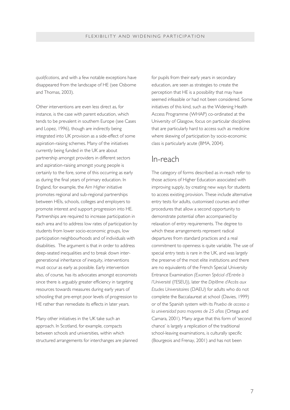*qualifications*, and with a few notable exceptions have disappeared from the landscape of HE (see Osborne and Thomas, 2003).

Other interventions are even less direct as, for instance, is the case with parent education, which tends to be prevalent in southern Europe (see Cases and Lopez, 1996), though are indirectly being integrated into UK provision as a side-effect of some aspiration-raising schemes. Many of the initiatives currently being funded in the UK are about partnership amongst providers in different sectors and aspiration-raising amongst young people is certainly to the fore, some of this occurring as early as during the final years of primary education. In England, for example, the *Aim Higher* initiative promotes regional and sub-regional partnerships between HEIs, schools, colleges and employers to promote interest and support progression into HE. Partnerships are required to increase participation in each area and to address low rates of participation by students from lower socio-economic groups, low participation neighbourhoods and of individuals with disabilities. The argument is that in order to address deep-seated inequalities and to break down intergenerational inheritance of inequity, interventions must occur as early as possible. Early intervention also, of course, has its advocates amongst economists since there is arguably greater efficiency in targeting resources towards measures during early years of schooling that pre-empt poor levels of progression to HE rather than remediate its effects in later years.

Many other initiatives in the UK take such an approach. In Scotland, for example, compacts between schools and universities, within which structured arrangements for interchanges are planned for pupils from their early years in secondary education, are seen as strategies to create the perception that HE is a possibility that may have seemed infeasible or had not been considered. Some initiatives of this kind, such as the Widening Health Access Programme (WHAP) co-ordinated at the University of Glasgow, focus on particular disciplines that are particularly hard to access such as medicine where skewing of participation by socio-economic class is particularly acute (BMA, 2004).

#### In-reach

The category of forms described as in-reach refer to those actions of Higher Education associated with improving supply, by creating new ways for students to access existing provision. These include alternative entry tests for adults, customised courses and other procedures that allow a second opportunity to demonstrate potential often accompanied by relaxation of entry requirements. The degree to which these arrangements represent radical departures from standard practices and a real commitment to openness is quite variable. The use of special entry tests is rare in the UK, and was largely the preserve of the most elite institutions and there are no equivalents of the French Special University Entrance Examination *(Examen Spécial d'Entrée à l'Université* (l'ESEU)), later the *Diplôme d'Accès aux Etudes Universitaires* (DAEU) for adults who do not complete the Baccalaureat at school (Davies, 1999) or of the Spanish system with its *Prueba de acceso a la universidad para mayores de 25 años* (Ortega and Camara, 2001). Many argue that this form of 'second chance' is largely a replication of the traditional school-leaving examinations, is culturally specific (Bourgeois and Frenay, 2001) and has not been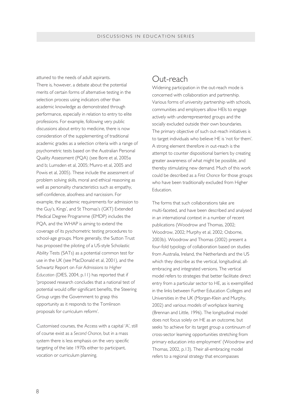attuned to the needs of adult aspirants. There is, however, a debate about the potential merits of certain forms of alternative testing in the selection process using indicators other than academic knowledge as demonstrated through performance, especially in relation to entry to elite professions. For example, following very public discussions about entry to medicine, there is now consideration of the supplementing of traditional academic grades as a selection criteria with a range of psychometric tests based on the Australian Personal Quality Assessment (PQA) (see Bore et al, 2005a and b; Lumsden et al, 2005; Munro et al, 2005 and Powis et al, 2005). These include the assessment of problem solving skills, moral and ethical reasoning as well as personality characteristics such as empathy, self-confidence, aloofness and narcissism. For example, the academic requirements for admission to the Guy's, Kings', and St Thomas's (GKT) Extended Medical Degree Programme (EMDP) includes the PQA, and the WHAP is aiming to extend the coverage of its pyschometric testing procedures to school-age groups. More generally, the Sutton Trust has proposed the piloting of a US-style Scholastic Ability Tests (SATs) as a potential common test for use in the UK (see MacDonald et al, 2001), and the Schwartz Report on *Fair Admissions to Higher Education* (DfES, 2004, p.11) has reported that if 'proposed research concludes that a national test of potential would offer significant benefits, the Steering Group urges the Government to grasp this opportunity as it responds to the Tomlinson proposals for curriculum reform'.

Customised courses, the Access with a capital 'A', still of course exist as a *Second Chance*, but in a mass system there is less emphasis on the very specific targeting of the late 1970s either to participant, vocation or curriculum planning.

#### Out-reach

Widening participation in the out-reach mode is concerned with collaboration and partnership. Various forms of university partnership with schools, communities and employers allow HEIs to engage actively with underrepresented groups and the socially excluded outside their own boundaries. The primary objective of such out-reach initiatives is to target individuals who believe HE is 'not for them'. A strong element therefore in out-reach is the attempt to counter dispositional barriers by creating greater awareness of what might be possible, and thereby stimulating new demand. Much of this work could be described as a *First Chance* for those groups who have been traditionally excluded from Higher Education.

The forms that such collaborations take are multi-faceted, and have been described and analysed in an international context in a number of recent publications (Woodrow and Thomas, 2002; Woodrow, 2002; Murphy et al, 2002; Osborne, 2003b). Woodrow and Thomas (2002) present a four-fold typology of collaboration based on studies from Australia, Ireland, the Netherlands and the US which they describe as the vertical, longitudinal, allembracing and integrated versions. The vertical model refers to strategies that better facilitate direct entry from a particular sector to HE, as is exemplified in the links between Further Education Colleges and Universities in the UK (Morgan-Klein and Murphy, 2002) and various models of workplace learning (Brennan and Little, 1996). The longitudinal model does not focus solely on HE as an outcome, but seeks 'to achieve for its target group a continuum of cross-sector learning opportunities stretching from primary education into employment' (Woodrow and Thomas, 2002, p.13). Their all-embracing model refers to a regional strategy that encompasses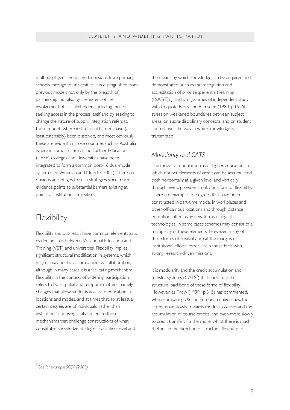multiple players and many dimensions from primary schools through to universities. It is distinguished from previous models not only by the breadth of partnership, but also by the extent of the involvement of all stakeholders including those seeking access in the process itself and by seeking to change the nature of supply. Integration refers to those models where institutional barriers have (at least ostensibly) been dissolved, and most obviously these are evident in those countries such as Australia where in some Technical and Further Education (TAFE) Colleges and Universities have been integrated to form a common post-16 dual-mode system (see Wheelan and Moodie, 2005). There are obvious advantages to such strategies since much evidence points to substantial barriers existing at points of institutional transition.

#### Flexibility

Flexibility and out-reach have common elements as is evident in links between Vocational Education and Training (VET) and universities. Flexibility implies significant structural modification in systems, which may or may not be accompanied by collaboration, although in many cases it is a facilitating mechanism. Flexibility in the context of widening participation refers to both spatial and temporal matters, namely changes that allow students access to education in locations and modes, and at times that, to at least a certain degree, are of individuals' rather than institutions' choosing. It also refers to those mechanisms that challenge constructions of what constitutes knowledge at Higher Education level and

the means by which knowledge can be acquired and demonstrated, such as the recognition and accreditation of prior (experiential) learning (R/AP(E)L), and programmes of independent study, with to quote Percy and Ramsden (1980, p.15) 'its stress on weakened boundaries between subject areas, on supra-disciplinary concepts, and on student control over the way in which knowledge is transmitted'.

#### *Modularity and CATS*

The move to modular forms of higher education, in which distinct elements of credit can be accumulated both horizontally at a given level and vertically through levels, provides an obvious form of flexibility. There are examples of degrees that have been constructed in part-time mode, in workplaces and other off-campus locations and through distance education, often using new forms of digital technologies. In some cases schemes may consist of a multiplicity of these elements. However, many of these forms of flexibility are at the margins of institutional efforts, especially in those HEIs with strong research-driven missions.

It is modularity and the credit accumulation and transfer systems (CATS $^5$ ) that constitute the structural backbone of these forms of flexibility. However, as Trow (1999, p.315) has commented, when comparing US and European universities, the latter 'move slowly towards modular courses and the accumulation of course credits, and even more slowly to credit transfer'. Furthermore, whilst there is much rhetoric in the direction of structural flexibility to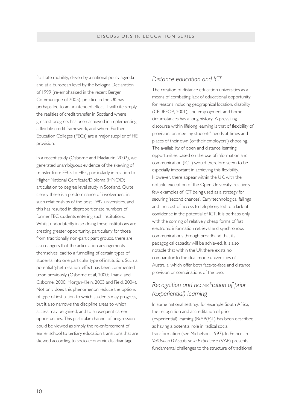facilitate mobility, driven by a national policy agenda and at a European level by the Bologna Declaration of 1999 (re-emphasised in the recent Bergen Communique of 2005), practice in the UK has perhaps led to an unintended effect. I will cite simply the realities of credit transfer in Scotland where greatest progress has been achieved in implementing a flexible credit framework, and where Further Education Colleges (FECs) are a major supplier of HE provision.

In a recent study (Osborne and Maclaurin, 2002), we generated unambiguous evidence of the skewing of transfer from FECs to HEIs, particularly in relation to Higher National Certificate/Diploma (HNC/D) articulation to degree level study in Scotland. Quite clearly there is a predominance of involvement in such relationships of the post 1992 universities, and this has resulted in disproportionate numbers of former FEC students entering such institutions. Whilst undoubtedly in so doing these institutions are creating greater opportunity, particularly for those from traditionally non-participant groups, there are also dangers that the articulation arrangements themselves lead to a funnelling of certain types of students into one particular type of institution. Such a potential 'ghettoisation' effect has been commented upon previously (Osborne et al, 2000; Thanki and Osborne, 2000; Morgan-Klein, 2003 and Field, 2004). Not only does this phenomenon reduce the options of type of institution to which students may progress, but it also narrows the discipline areas to which access may be gained, and to subsequent career opportunities. This particular channel of progression could be viewed as simply the re-enforcement of earlier school to tertiary education transitions that are skewed according to socio-economic disadvantage.

#### *Distance education and ICT*

The creation of distance education universities as a means of combating lack of educational opportunity for reasons including geographical location, disability (CEDEFOP, 2001), and employment and home circumstances has a long history. A prevailing discourse within lifelong learning is that of flexibility of provision, on meeting students' needs at times and places of their own (or their employers') choosing. The availability of open and distance learning opportunities based on the use of information and communication (ICT) would therefore seem to be especially important in achieving this flexibility. However, there appear within the UK, with the notable exception of the Open University, relatively few examples of ICT being used as a strategy for securing 'second chances'. Early technological failings and the cost of access to telephony led to a lack of confidence in the potential of ICT. It is perhaps only with the coming of relatively cheap forms of fast electronic information retrieval and synchronous communications through broadband that its pedagogical capacity will be achieved. It is also notable that within the UK there exists no comparator to the dual mode universities of Australia, which offer both face-to-face and distance provision or combinations of the two.

#### *Recognition and accreditation of prior (experiential) learning*

In some national settings, for example South Africa, the recognition and accreditation of prior (experiential) learning (R/AP(E)L) has been described as having a potential role in radical social transformation (see Michelson, 1997). In France *La Validation D'Acquis de la Experience* (VAE) presents fundamental challenges to the structure of traditional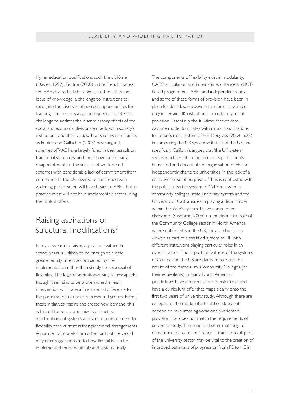higher education qualifications such the diplôme (Davies, 1999). Feutrie (2000) in the French context see VAE as a radical challenge as to the nature and locus of knowledge; a challenge to institutions to recognise the diversity of people's opportunities for learning, and perhaps as a consequence, a potential challenge to address the discriminatory effects of the social and economic divisions embedded in society's institutions, and their values. That said even in France, as Feutrie and Gallacher (2003) have argued, schemes of VAE have largely failed in their assault on traditional structures, and there have been many disappointments in the success of work-based schemes with considerable lack of commitment from companies. In the UK, everyone concerned with widening participation will have heard of APEL, but in practice most will not have implemented access using the tools it offers.

#### Raising aspirations or structural modifications?

In my view, simply raising aspirations within the school years is unlikely to be enough to create greater equity unless accompanied by the implementation rather than simply the espousal of flexibility. The logic of aspiration-raising is inescapable. though it remains to be proven whether early intervention will make a fundamental difference to the participation of under-represented groups. Even if these initiatives inspire and create new demand, this will need to be accompanied by structural modifications of systems and greater commitment to flexibility than current rather piecemeal arrangements. A number of models from other parts of the world may offer suggestions as to how flexibility can be implemented more equitably and systematically.

The components of flexibility exist in modularity, CATS, articulation and in part-time, distance and ICTbased programmes, APEL and independent study, and some of these forms of provision have been in place for decades. However each form is available only in certain UK institutions for certain types of provision. Essentially the full-time, face-to-face, daytime mode dominates with minor modifications for today's mass system of HE. Douglass (2004, p.28) in comparing the UK system with that of the US, and specifically California argues that 'the UK system seems much less than the sum of its parts – in its bifurcated and decentralised organisation of FE and independently chartered universities, in the lack of a collective sense of purpose…' This is contrasted with the public tripartite system of California with its community colleges, state university system and the University of California, each playing a distinct role within the state's system. I have commented elsewhere (Osborne, 2005) on the distinctive role of the Community College sector in North America, where unlike FECs in the UK, they can be clearly viewed as part of a stratified system of HE with different institutions playing particular roles in an overall system. The important features of the systems of Canada and the US are clarity of role and the nature of the curriculum. Community Colleges (or their equivalents) in many North American jurisdictions have a much clearer transfer role, and have a curriculum offer that maps clearly onto the first two years of university study. Although there are exceptions, the model of articulation does not depend on re-purposing vocationally-oriented provision that does not match the requirements of university study. The need for better matching of curriculum to create confidence in transfer to all parts of the university sector may be vital to the creation of improved pathways of progression from FE to HE in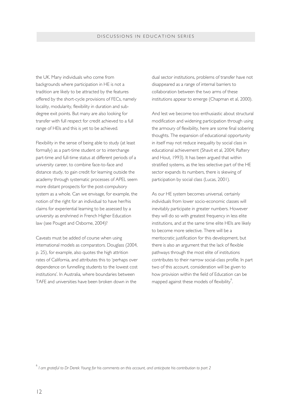the UK. Many individuals who come from backgrounds where participation in HE is not a tradition are likely to be attracted by the features offered by the short-cycle provisions of FECs, namely locality, modularity, flexibility in duration and subdegree exit points. But many are also looking for transfer with full respect for credit achieved to a full range of HEIs and this is yet to be achieved.

Flexibility in the sense of being able to study (at least formally) as a part-time student or to interchange part-time and full-time status at different periods of a university career, to combine face-to-face and distance study, to gain credit for learning outside the academy through systematic processes of APEL seem more distant prospects for the post-compulsory system as a whole. Can we envisage, for example, the notion of the right for an individual to have her/his claims for experiential learning to be assessed by a university as enshrined in French Higher Education law (see Pouget and Osborne, 2004)?

Caveats must be added of course when using international models as comparators. Douglass (2004, p. 25), for example, also quotes the high attrition rates of California, and attributes this to 'perhaps over dependence on funnelling students to the lowest cost institutions'. In Australia, where boundaries between TAFE and universities have been broken down in the

dual sector institutions, problems of transfer have not disappeared as a range of internal barriers to collaboration between the two arms of these institutions appear to emerge (Chapman et al, 2000).

And lest we become too enthusiastic about structural modification and widening participation through using the armoury of flexibility, here are some final sobering thoughts. The expansion of educational opportunity in itself may not reduce inequality by social class in educational achievement (Shavit et al, 2004; Raftery and Hout, 1993). It has been argued that within stratified systems, as the less selective part of the HE sector expands its numbers, there is skewing of participation by social class (Lucas, 2001).

As our HE system becomes universal, certainly individuals from lower socio-economic classes will inevitably participate in greater numbers. However they will do so with greatest frequency in less elite institutions, and at the same time elite HEIs are likely to become more selective. There will be a meritocratic justification for this development, but there is also an argument that the lack of flexible pathways through the most elite of institutions contributes to their narrow social-class profile. In part two of this account, consideration will be given to how provision within the field of Education can be mapped against these models of flexibility<sup>6</sup>. .

6 *I am grateful to Dr Derek Young for his comments on this account, and anticipate his contribution to part 2*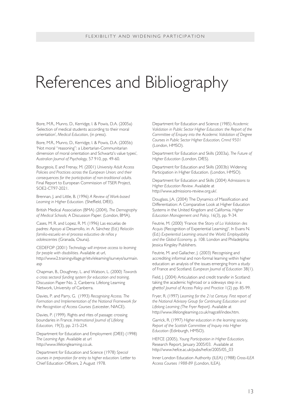# References and Bibliography

Bore, M.R., Munro, D., Kerridge, I. & Powis, D.A. (2005a) 'Selection of medical students according to their moral orientation', *Medical Education*, (in press).

Bore, M.R., Munro, D., Kerridge, I. & Powis, D.A. (2005b) 'Not moral "reasoning": a Libertarian-Communitarian dimension of moral orientation and Schwartz's value types', *Australian Journal of Psychology,* 57 910, pp. 49-60.

Bourgeois, E and Frenay, M. (2001) *University Adult Access Policies and Practices across the European Union; and their consequences for the participation of non-traditional adults.* Final Report to European Commission of TSER Project, SOE2-CT97-2021.

Brennan, J. and Little, B. (1996) *A Review of Work-based Learning in Higher Education.* (Sheffield, DfEE).

British Medical Association (BMA) (2004), *The Demography of Medical Schools;* A Discussion Paper. (London, BMA).

Cases, M. R. and Lopez, R. M. (1996) Las escuelas de padres: Apoyo al Desarrollo, in: A. Sánchez (Ed.) *Relación familia-escuela en el proceso educativo de niños y adolescentes* (Granada, Osuna).

CEDEFOP (2001) *Technology will improve access to learning for people with disabilities.* Available at url, http://www2.trainingvillage.gr/etv/elearning/surveys/surmain. asp

Chapman, B., Doughney, L. and Watson, L. (2000) *Towards a cross sectoral funding system for education and training,* Discussion Paper No. 2, Canberra: Lifelong Learning Network, University of Canberra.

Davies, P. and Parry, G. (1993) *Recognising Access. The Formation and Implementation of the National Framework for the Recognition of Access Courses* (Leicester, NIACE).

Davies, P. (1999). Rights and rites of passage: crossing boundaries in France. *International Journal of Lifelong Education,* 19(3), pp. 215-224.

Department for Education and Employment (DfEE) (1998) *The Learning Age.* Available at url http://www.lifelonglearning.co.uk.

Department for Education and Science (1978) *Special courses in preparation for entry to higher education.* Letter to Chief Education Officers, 2 August 1978.

Department for Education and Science (1985) *Academic Validation in Public Sector Higher Education: the Report of the Committee of Enquiry into the Academic Validation of Degree Courses in Public Sector Higher Education, Cmnd 9501* (London, HMSO).

Department for Education and Skills (2003a), *The Future of Higher Education* (London, DfES).

Department for Education and Skills (2003b) Widening Participation in Higher Education. (London, HMSO).

Department for Education and Skills (2004) *Admissions to Higher Education Review.* Available at http://www.admissions-review.org.uk/.

Douglass, J.A. (2004) The Dynamics of Massification and Differentiation: A Comparative Look at Higher Education Systems in the United Kingdom and California. *Higher Education Management and Policy,* 16(3), pp. 9-34.

Feutrie, M. (2000) 'France: the Story of *La Validation des Acquis* (Recognition of Experiential Learning)'. In Evans N. (Ed.) *Experiential Learning around the World. Employability and the Global Economy*. p. 108. London and Philadelphia: Jessica Kingsley Publishers.

Feutrie, M. and Gallacher, J. (2003) Recognising and accrediting informal and non-formal learning within higher education: an analysis of the issues emerging from a study of France and Scotland. *European Journal of Education* 38(1).

Field, J. (2004) Articulation and credit transfer in Scotland: taking the academic highroad or a sideways step in a ghetto? *Journal of Access Policy and Practice* 1(2) pp. 85-99.

Fryer, R. (1997) *Learning for the 21st Century. First report of the National Advisory Group for Continuing Education and Lifelong Learning (The Fryer Report).* Available at http://www.lifelonglearning.co.uk/nagcell/index.htm.

Garrick, R. (1997) *Higher education in the learning society, Report of the Scottish Committee of Inquiry into Higher Education* (Edinburgh, HMSO).

HEFCE (2005), *Young Participation in Higher Education,* Research Report, January 2005/03. Available at http://www.hefce.ac.uk/pubs/hefce/2005/05\_03

Inner London Education Authority (ILEA) (1988) *Cross-ILEA Access Courses 1988-89* (London, ILEA).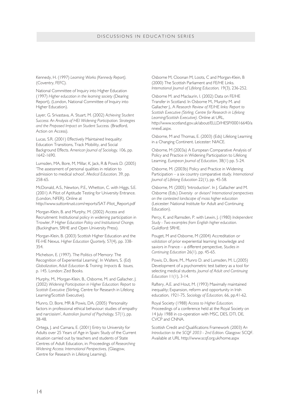#### DISCUSSIONS IN EDUCATION SERIES

Kennedy, H. (1997) *Learning Works (Kennedy Report),* (Coventry, FEFC).

National Committee of Inquiry into Higher Education (1997) *Higher education in the learning society* (Dearing Report), (London, National Committee of Inquiry into Higher Education).

Layer, G. Srivastava, A. Stuart, M. (2002) *Achieving Student Success: An Analysis of HEI Widening Participation. Strategies and the Proposed Impact on Student Success.* (Bradford, Action on Access).

Lucas, S.R. (2001) Effectively Maintained Inequality: Education Transitions, Track Mobility, and Social Background Effects. *American Journal of Sociology,* 106, pp. 1642-1690.

Lumsden, MA, Bore, M, Millar, K, Jack, R & Powis D. (2005) 'The assessment of personal qualities in relation to admission to medical school', *Medical Education,* 39, pp. 258-65.

McDonald, A.S., Newton, P.E., Whetton, C. with Higgs, S.E. (2001) A Pilot of Aptitude Testing for University Entrance. (London, NFER). Online at

http://www.suttontrust.com/reports/SAT-Pilot\_Report.pdf

Morgan-Klein, B. and Murphy, M. (2002) Access and Recruitment: Institutional policy in widening participation in Trowler, P *Higher Education Policy and Institutional Change,* (Buckingham, SRHE and Open University Press).

Morgan-Klein, B. (2003) Scottish Higher Education and the FE-HE Nexus. *Higher Education Quarterly,* 57(4), pp. 338- 354.

Michelson, E. (1997). The Politics of Memory: The Recognition of Experiential Learning'. In Walters, S. (Ed) *Globalization, Adult Education & Training. Impacts & Issues,* p. 145. London: Zed Books.

Murphy, M., Morgan-Klein, B., Osborne, M. and Gallacher, J. (2002) *Widening Participation in Higher Education: Report to Scottish Executive* (Stirling, Centre for Research in Lifelong Learning/Scottish Executive).

Munro, D, Bore, MR & Powis, DA. (2005) 'Personality factors in professional ethical behaviour: studies of empathy and narcissism', *Australian Journal of Psychology,* 57(1), pp. 38-48.

Ortega, J. and Camara, E. (2001) Entry to University for Adults over 25 Years of Age in Spain: Study of the Current situation carried out by teachers and students of State Centres of Adult Education, in: Proceedings of *Researching Widening Access: International Perspectives,* (Glasgow, Centre for Research in Lifelong Learning).

Osborne M, Cloonan M, Loots, C and Morgan-Klein, B (2000) The Scottish Parliament and FE/HE Links. *International Journal of Lifelong Education,* 19(3), 236-252.

Osborne M. and Maclaurin, I. (2002) Data on FE/HE Transfer in Scotland. In Osborne M., Murphy M. and Gallacher J., A *Research Review of FE/HE links: Report to Scottish Executive (Stirling, Centre for Research in Lifelong Learning/Scottish Executive).* Online at URL, http://www.scotland.gov.uk/about/ELLD/HESP/00016640/a nnexE.aspx.

Osborne, M and Thomas, E. (2003) (Eds) Lifelong Learning in a Changing Continent. Leicester: NIACE.

Osborne, M (2003a) A European Comparative Analysis of Policy and Practice in Widening Participation to Lifelong Learning. *European Journal of Education,* 38(1) pp. 5-24.

Osborne, M. (2003b) Policy and Practice in Widening Participation – a six country comparative study. *International Journal of Lifelong Education* 22(1), pp. 45-58.

Osborne, M. (2005) 'Introduction'. In J. Gallacher and M. Osborne (Eds.) *Diversity or divison? International perspectives on the contested landscape of mass higher education* (Leicester: National Institute for Adult and Continuing Education).

Percy, K. and Ramsden, P. with Lewin, J. (1980) *Independent Study - Two examples from English higher education.* Guildford: SRHE.

Pouget, M and Osborne, M (2004) Accreditation or *validation* of prior experiential learning: knowledge and saviors in France – a different perspective, *Studies in Continuing Education* 26(1), pp. 45-65.

Powis, D., Bore, M., Munro D. and Lumsden, M. L.(2005) Development of a psychometric test battery as a tool for selecting medical students. *Journal of Adult and Continuing Education* 11(1), 3-14.

Raftery, A.E. and Hout, M. (1993) Maximally maintained inequality; Expansion, reform and opportunity in Irish education, 1921-75, *Sociology of Education,* 66, pp.41-62.

Royal Society (1988) *Access to Higher Education.* Proceedings of a conference held at the Royal Society on 14 July 1988 in co-operation with MSC, DES, DTI, DE, CVCP and CNNA.

Scottish Credit and Qualifications Framework (2003) *An Introduction to the SCQF 2003 - 2nd Edition.* Glasgow: SCQF. Available at URL http://www.scqf.org.uk/home.aspx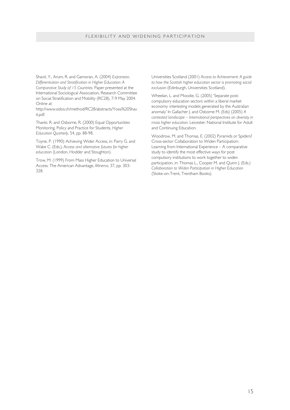#### FLEXIBILITY AND WIDENING PARTICIPATION

Shavit, Y., Arum, R. and Gamoran, A. (2004) *Expansion, Differentiation and Stratification in Higher Education: A Comparative Study of 15 Countries.* Paper presented at the International Sociological Association, Research Committee on Social Stratification and Mobility (RC28), 7-9 May 2004. Online at

http://www.sidos.ch/method/RC28/abstracts/Yossi%20Shav it.pdf.

Thanki, R. and Osborne, R. (2000) Equal Opportunities Monitoring, Policy and Practice for Students, *Higher Education Quarterly,* 54, pp. 88-98.

Toyne, P. (1990) Achieving Wider Access, in: Parry G. and Wake C. (Eds.), *Access and alternative futures for higher education* (London, Hodder and Stoughton).

Trow, M. (1999) From Mass Higher Education to Universal Access: The American Advantage, *Minerva,* 37, pp. 303- 328.

Universities Scotland (2001) *Access to Achievement: A guide to how the Scottish higher education sector is promoting social exclusion* (Edinburgh, Universities Scotland).

Wheelan, L. and Moodie, G. (2005) 'Separate postcompulsory education sectors within a liberal market economy: interesting models generated by the Australian anomaly' In Gallacher J. and Osborne M. (Eds) (2005) *A contested landscape – International perspectives on diversity in mass higher education.* Leicester: National Institute for Adult and Continuing Education.

Woodrow, M. and Thomas, E. (2002) Pyramids or Spiders? Cross-sector Collaboration to Widen Participation: Learning from International Experience – A comparative study to identify the most effective ways for post compulsory institutions to work together to widen participation, in: Thomas L., Cooper M. and Quinn J. (Eds.) *Collaboration to Widen Participation in Higher Education* (Stoke-on-Trent, Trentham Books).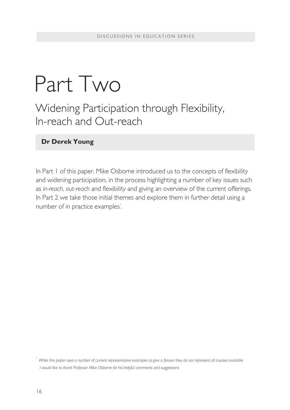# Part Two

Widening Participation through Flexibility, In-reach and Out-reach

#### **Dr Derek Young**

In Part I of this paper, Mike Osborne introduced us to the concepts of flexibility and widening participation, in the process highlighting a number of key issues such as *in-reach, out-reach* and flexibility and giving an overview of the current offerings. In Part 2 we take those initial themes and explore them in further detail using a number of in practice examples<sup>'</sup>.

<sup>1</sup> While this paper uses a number of current representative examples to give a flavour they do not represent all courses available *I would like to thank Professor Mike Osborne for his helpful comments and suggestions*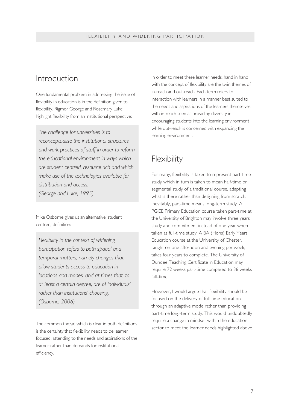#### Introduction

One fundamental problem in addressing the issue of flexibility in education is in the definition given to flexibility. Rigmor George and Rosemary Luke highlight flexibility from an institutional perspective:

*The challenge for universities is to reconceptualise the institutional structures and work practices of staff in order to reform the educational environment in ways which are student centred, resource rich and which make use of the technologies available for distribution and access. (George and Luke, 1995)*

Mike Osborne gives us an alternative, student centred, definition:

*Flexibility in the context of widening participation refers to both spatial and temporal matters, namely changes that allow students access to education in locations and modes, and at times that, to at least a certain degree, are of individuals' rather than institutions' choosing. (Osborne, 2006)*

The common thread which is clear in both definitions is the certainty that flexibility needs to be learner focused, attending to the needs and aspirations of the learner rather than demands for institutional efficiency.

In order to meet these learner needs, hand in hand with the concept of flexibility are the twin themes of in-reach and out-reach. Each term refers to interaction with learners in a manner best suited to the needs and aspirations of the learners themselves, with in-reach seen as providing diversity in encouraging students into the learning environment while out-reach is concerned with expanding the learning environment.

#### Flexibility

For many, flexibility is taken to represent part-time study which in turn is taken to mean half-time or segmental study of a traditional course, adapting what is there rather than designing from scratch. Inevitably, part-time means long-term study. A PGCE Primary Education course taken part-time at the University of Brighton may involve three years study and commitment instead of one year when taken as full-time study. A BA (Hons) Early Years Education course at the University of Chester, taught on one afternoon and evening per week, takes four years to complete. The University of Dundee Teaching Certificate in Education may require 72 weeks part-time compared to 36 weeks full-time.

However, I would argue that flexibility should be focused on the delivery of full-time education through an adaptive mode rather than providing part-time long-term study. This would undoubtedly require a change in mindset within the education sector to meet the learner needs highlighted above.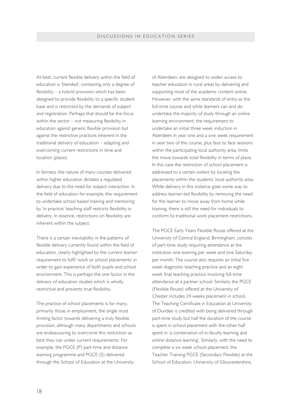At best, current flexible delivery within the field of education is 'blended', containing only a degree of flexibility – a hybrid provision which has been designed to provide flexibility to a specific student base and is restricted by the demands of subject and registration. Perhaps that should be the focus within the sector – not measuring flexibility in education against generic flexible provision but against the restrictive practices inherent in the traditional delivery of education – adapting and overcoming current restrictions in time and location (place).

In fairness, the nature of many courses delivered within higher education dictates a regulated delivery due to the need for subject interaction. In the field of education for example, the requirement to undertake school based training and mentoring by 'in practice' teaching staff restricts flexibility in delivery. In essence, restrictions on flexibility are inherent within the subject.

There is a certain inevitability in the patterns of flexible delivery currently found within the field of education, clearly highlighted by the current learner requirement to fulfil 'work or school placements' in order to gain experience of both pupils and school environment. This is perhaps the one factor in the delivery of education studies which is wholly restrictive and prevents true flexibility.

The practice of school placements is for many, primarily those in employment, the single most limiting factor towards delivering a truly flexible provision, although many departments and schools are endeavouring to overcome this restriction as best they can under current requirements. For example, the PGCE (P) part-time and distance learning programme and PGCE (S) delivered through the School of Education at the University

of Aberdeen, are designed to widen access to teacher education in rural areas by delivering and supporting most of the academic content online. However, with the same standards of entry as the full-time course and while learners can and do undertake the majority of study through an online learning environment, the requirement to undertake an initial three week induction in Aberdeen in year one and a one week requirement in year two of the course, plus face to face sessions within the participating local authority area, limits the move towards total flexibility in terms of place. In this case the restriction of school placement is addressed to a certain extent by locating the placements within the students' local authority area. While delivery in this instance goes some way to address learner-led flexibility by removing the need for the learner to move away from home while training, there is still the need for individuals to conform to traditional work placement restrictions.

The PGCE Early Years Flexible Route offered at the University of Central England, Birmingham, consists of part-time study requiring attendance at the institution one evening per week and one Saturday per month. The course also requires an initial five week diagnostic teaching practice and an eight week final teaching practice involving full-time attendance at a partner school. Similarly the PGCE (Flexible Route) offered at the University of Chester includes 24 weeks placement in school. The Teaching Certificate in Education at University of Dundee is credited with being delivered through part-time study but half the duration of the course is spent in school placement with the other half spent in 'a combination of in-faculty learning and online distance learning'. Similarly, with the need to complete a six week school placement, the Teacher Training PGCE (Secondary Flexible) at the School of Education, University of Gloucestershire,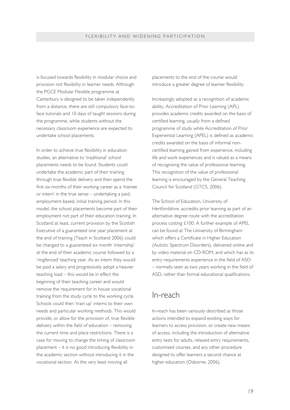is focused towards flexibility in modular choice and provision not flexibility in learner needs. Although the PGCE Modular Flexible programme at Canterbury is designed to be taken independently from a distance, there are still compulsory face-toface tutorials and 10 days of taught sessions during the programme, while students without the necessary classroom experience are expected to undertake school placements.

In order to achieve true flexibility in education studies, an alternative to 'traditional' school placements needs to be found. Students could undertake the academic part of their training through true flexible delivery and then spend the first six months of their working career as a 'trainee or intern' in the true sense – undertaking a paid, employment-based, initial training period. In this model, the school placements become part of their employment not part of their education training. In Scotland at least, current provision by the Scottish Executive of a guaranteed one year placement at the end of training (Teach in Scotland 2006) could be changed to a guaranteed six month 'internship' at the end of their academic course followed by a 'ringfenced' teaching year. As an intern they would be paid a salary and progressively adopt a heavier teaching load – this would be in effect the beginning of their teaching career and would remove the requirement for in house vocational training from the study cycle to the working cycle. Schools could then 'train up' interns to their own needs and particular working methods. This would provide, or allow for the provision of, true flexible delivery within the field of education – removing the current time and place restrictions. There is a case for moving to change the timing of classroom placement – it is no good introducing flexibility in the academic section without introducing it in the vocational section. At the very least moving all

placements to the end of the course would introduce a greater degree of learner flexibility.

Increasingly adopted as a recognition of academic ability, Accreditation of Prior Learning (APL) provides academic credits awarded on the basis of certified learning, usually from a defined programme of study while Accreditation of Prior Experiential Learning (APEL) is defined as academic credits awarded on the basis of informal noncertified learning gained from experience, including life and work experiences and is valued as a means of recognising the value of professional learning. This recognition of the value of professional learning is encouraged by the General Teaching Council for Scotland (GTCS, 2006).

The School of Education, University of Hertfordshire, accredits prior learning as part of an alternative degree route with the accreditation process costing £100. A further example of APEL can be found at The University of Birmingham which offers a Certificate in Higher Education (Autistic Spectrum Disorders), delivered online and by video material on CD-ROM, and which has as its entry requirements experience in the field of ASD – normally seen as two years working in the field of ASD, rather than formal educational qualifications.

#### In-reach

In-reach has been variously described as those actions intended to expand existing ways for learners to access provision, or create new means of access, including the introduction of alternative entry tests for adults, relaxed entry requirements, customised courses, and any other procedure designed to offer learners a second chance at higher education (Osborne, 2006).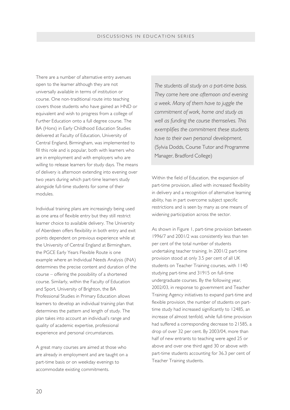There are a number of alternative entry avenues open to the learner although they are not universally available in terms of institution or course. One non-traditional route into teaching covers those students who have gained an HND or equivalent and wish to progress from a college of Further Education onto a full degree course. The BA (Hons) in Early Childhood Education Studies delivered at Faculty of Education, University of Central England, Birmingham, was implemented to fill this role and is popular, both with learners who are in employment and with employers who are willing to release learners for study days. The means of delivery is afternoon extending into evening over two years during which part-time learners study alongside full-time students for some of their modules.

Individual training plans are increasingly being used as one area of flexible entry but they still restrict learner choice to available delivery. The University of Aberdeen offers flexibility in both entry and exit points dependent on previous experience while at the University of Central England at Birmingham, the PGCE Early Years Flexible Route is one example where an Individual Needs Analysis (INA) determines the precise content and duration of the course – offering the possibility of a shortened course. Similarly, within the Faculty of Education and Sport, University of Brighton, the BA Professional Studies in Primary Education allows learners to develop an individual training plan that determines the pattern and length of study. The plan takes into account an individual's range and quality of academic expertise, professional experience and personal circumstances.

A great many courses are aimed at those who are already in employment and are taught on a part-time basis or on weekday evenings to accommodate existing commitments.

*The students all study on a part-time basis. They come here one afternoon and evening a week. Many of them have to juggle the commitment of work, home and study as well as funding the course themselves. This exemplifies the commitment these students have to their own personal development.* (Sylvia Dodds, Course Tutor and Programme Manager, Bradford College)

Within the field of Education, the expansion of part-time provision, allied with increased flexibility in delivery and a recognition of alternative learning ability, has in part overcome subject specific restrictions and is seen by many as one means of widening participation across the sector.

As shown in Figure 1, part-time provision between 1996/7 and 2001/2 was consistently less than ten per cent of the total number of students undertaking teacher training. In 2001/2 part-time provision stood at only 3.5 per cent of all UK students on Teacher Training courses, with 1140 studying part-time and 31915 on full-time undergraduate courses. By the following year, 2002/03, in response to government and Teacher Training Agency initiatives to expand part-time and flexible provision, the number of students on parttime study had increased significantly to 12485, an increase of almost tenfold, while full-time provision had suffered a corresponding decrease to 21585, a drop of over 32 per cent. By 2003/04, more than half of new entrants to teaching were aged 25 or above and over one third aged 30 or above with part-time students accounting for 36.3 per cent of Teacher Training students.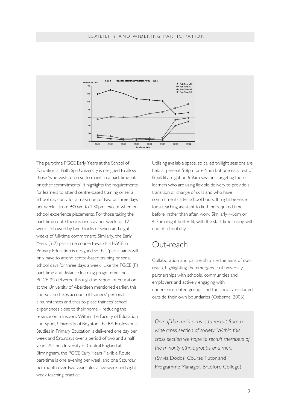

The part-time PGCE Early Years at the School of Education at Bath Spa University is designed to allow those 'who wish to do so to maintain a part-time job or other commitments'. It highlights the requirements for learners to attend centre-based training or serial school days only for a maximum of two or three days per week – from 9:00am to 2:30pm, except when on school experience placements. For those taking the part-time route there is one day per week for 12 weeks followed by two blocks of seven and eight weeks of full-time commitment. Similarly, the Early Years (3-7) part-time course towards a PGCE in Primary Education is designed so that 'participants will only have to attend centre-based training or serial school days for three days a week'. Like the PGCE (P) part-time and distance learning programme and PGCE (S) delivered through the School of Education at the University of Aberdeen mentioned earlier, this course also takes account of trainees' personal circumstances and tries to place trainees' school experiences close to their home – reducing the reliance on transport. Within the Faculty of Education and Sport, University of Brighton, the BA Professional Studies in Primary Education is delivered one day per week and Saturdays over a period of two and a half years. At the University of Central England at Birmingham, the PGCE Early Years Flexible Route part-time is one evening per week and one Saturday per month over two years plus a five week and eight week teaching practice.

Utilising available space, so called twilight sessions are held at present 5-8pm or 6-9pm but one easy test of flexibility might be 6-9am sessions targeting those learners who are using flexible delivery to provide a transition or change of skills and who have commitments after school hours. It might be easier for a teaching assistant to find the required time before, rather than after, work. Similarly 4-6pm or 4-7pm might better fit, with the start time linking with end of school day.

#### Out-reach

Collaboration and partnership are the aims of outreach, highlighting the emergence of university partnerships with schools, communities and employers and actively engaging with underrepresented groups and the socially excluded outside their own boundaries (Osborne, 2006).

*One of the main aims is to recruit from a wide cross section of society. Within this cross section we hope to recruit members of the minority ethnic groups and men.* (Sylvia Dodds, Course Tutor and Programme Manager, Bradford College)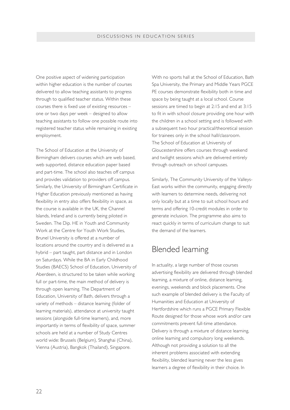One positive aspect of widening participation within higher education is the number of courses delivered to allow teaching assistants to progress through to qualified teacher status. Within these courses there is fixed use of existing resources – one or two days per week – designed to allow teaching assistants to follow one possible route into registered teacher status while remaining in existing employment.

The School of Education at the University of Birmingham delivers courses which are web based, web supported, distance education paper based and part-time. The school also teaches off campus and provides validation to providers off campus. Similarly, the University of Birmingham Certificate in Higher Education previously mentioned as having flexibility in entry also offers flexibility in space, as the course is available in the UK, the Channel Islands, Ireland and is currently being piloted in Sweden. The Dip. HE in Youth and Community Work at the Centre for Youth Work Studies, Brunel University is offered at a number of locations around the country and is delivered as a hybrid – part taught, part distance and in London on Saturdays. While the BA in Early Childhood Studies (BAECS) School of Education, University of Aberdeen, is structured to be taken while working full or part-time, the main method of delivery is through open learning. The Department of Education, University of Bath, delivers through a variety of methods – distance learning (folder of learning materials), attendance at university taught sessions (alongside full-time learners), and, more importantly in terms of flexibility of space, summer schools are held at a number of Study Centres world wide: Brussels (Belgium), Shanghai (China), Vienna (Austria), Bangkok (Thailand), Singapore.

With no sports hall at the School of Education, Bath Spa University, the Primary and Middle Years PGCE PE courses demonstrate flexibility both in time and space by being taught at a local school. Course sessions are timed to begin at 2:15 and end at 3:15 to fit in with school closure providing one hour with the children in a school setting and is followed with a subsequent two hour practical/theoretical session for trainees only in the school hall/classroom. The School of Education at University of Gloucestershire offers courses through weekend and twilight sessions which are delivered entirely through outreach on school campuses.

Similarly, The Community University of the Valleys-East works within the community, engaging directly with learners to determine needs, delivering not only locally but at a time to suit school hours and terms and offering 10-credit modules in order to generate inclusion. The programme also aims to react quickly in terms of curriculum change to suit the demand of the learners.

#### Blended learning

In actuality, a large number of those courses advertising flexibility are delivered through blended learning, a mixture of online, distance learning, evenings, weekends and block placements. One such example of blended delivery is the Faculty of Humanities and Education at University of Hertfordshire which runs a PGCE Primary Flexible Route designed for those whose work and/or care commitments prevent full-time attendance. Delivery is through a mixture of distance learning, online learning and compulsory long weekends. Although not providing a solution to all the inherent problems associated with extending flexibility, blended learning never the less gives learners a degree of flexibility in their choice. In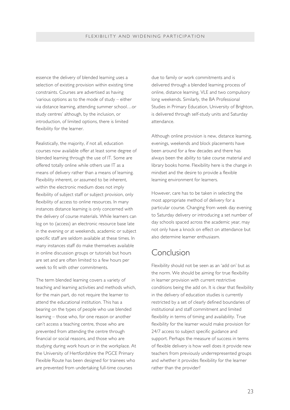essence the delivery of blended learning uses a selection of existing provision within existing time constraints. Courses are advertised as having 'various options as to the mode of study – either via distance learning, attending summer school…or study centres' although, by the inclusion, or introduction, of limited options, there is limited flexibility for the learner.

Realistically, the majority, if not all, education courses now available offer at least some degree of blended learning through the use of IT. Some are offered totally online while others use IT as a means of delivery rather than a means of learning. Flexibility inherent, or assumed to be inherent, within the electronic medium does not imply flexibility of subject staff or subject provision, only flexibility of access to online resources. In many instances distance learning is only concerned with the delivery of course materials. While learners can log on to (access) an electronic resource base late in the evening or at weekends, academic or subject specific staff are seldom available at these times. In many instances staff do make themselves available in online discussion groups or tutorials but hours are set and are often limited to a few hours per week to fit with other commitments.

The term blended learning covers a variety of teaching and learning activities and methods which, for the main part, do not require the learner to attend the educational institution. This has a bearing on the types of people who use blended learning – those who, for one reason or another can't access a teaching centre, those who are prevented from attending the centre through financial or social reasons, and those who are studying during work hours or in the workplace. At the University of Hertfordshire the PGCE Primary Flexible Route has been designed for trainees who are prevented from undertaking full-time courses

due to family or work commitments and is delivered through a blended learning process of online, distance learning, VLE and two compulsory long weekends. Similarly, the BA Professional Studies in Primary Education, University of Brighton, is delivered through self-study units and Saturday attendance.

Although online provision is new, distance learning, evenings, weekends and block placements have been around for a few decades and there has always been the ability to take course material and library books home. Flexibility here is the change in mindset and the desire to provide a flexible learning environment for learners.

However, care has to be taken in selecting the most appropriate method of delivery for a particular course. Changing from week day evening to Saturday delivery or introducing a set number of day schools spaced across the academic year, may not only have a knock on effect on attendance but also determine learner enthusiasm.

#### Conclusion

Flexibility should not be seen as an 'add on' but as the norm. We should be aiming for true flexibility in learner provision with current restrictive conditions being the add on. It is clear that flexibility in the delivery of education studies is currently restricted by a set of clearly defined boundaries of institutional and staff commitment and limited flexibility in terms of timing and availability. True flexibility for the learner would make provision for 24/7 access to subject specific guidance and support. Perhaps the measure of success in terms of flexible delivery is how well does it provide new teachers from previously underrepresented groups and whether it provides flexibility for the learner rather than the provider?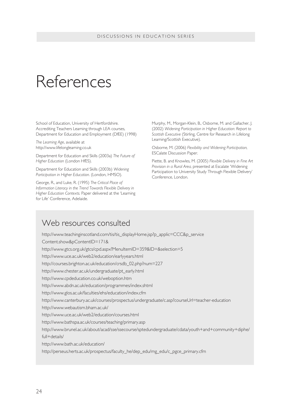# References

School of Education, University of Hertfordshire. Accrediting Teachers Learning through LEA courses, Department for Education and Employment (DfEE) (1998)

*The Learning Age*, available at http://www.lifelonglearning.co.uk

Department for Education and Skills (2003a) *The Future of Higher Education* (London HfES).

Department for Education and Skills (2003b) *Widening Participation in Higher Education.* (London, HMSO).

George, R., and Luke, R. (1995) *The Critical Place of Information Literacy in the Trend Towards Flexible Delivery in Higher Education Contexts.* Paper delivered at the 'Learning for Life' Conference, Adelaide.

Murphy, M., Morgan-Klein, B., Osborne, M. and Gallacher, J. (2002) *Widening Participation in Higher Education: Report to Scottish Executive* (Stirling, Centre for Research in Lifelong Learning/Scottish Executive).

Osborne, M. (2006) *Flexibility and Widening Participation,* ESCalate Discussion Paper.

Piette, B. and Knowles, M. (2005) *Flexible Delivery in Fine Art Provision in a Rural Area,* presented at Escalate 'Widening Participation to University Study Through Flexible Delivery' Conference, London.

#### Web resources consulted

http://www.teachinginscotland.com/tis/tis\_displayHome.jsp?p\_applic=CCC&p\_service Content.show&pContentID=171& http://www.gtcs.org.uk/gtcs/cpd.aspx?MenuItemID=359&ID=&selection=5 http://www.uce.ac.uk/web2/education/earlyyears.html http://courses.brighton.ac.uk/education/crsdb\_02.php?num=227 http://www.chester.ac.uk/undergraduate/pt\_early.html http://www.cpdeducation.co.uk/weboption.htm http://www.abdn.ac.uk/education/programmes/index.shtml http://www.glos.ac.uk/faculties/ehs/education/index.cfm http://www.canterbury.ac.uk/courses/prospectus/undergraduate/c.asp?courseUrl=teacher-education http://www.webautism.bham.ac.uk/ http://www.uce.ac.uk/web2/education/courses.html http://www.bathspa.ac.uk/courses/teaching/primary.asp http://www.brunel.ac.uk/about/acad/sse/ssecourse/sptedundergraduate/cdata/youth+and+community+diphe/ full+details/ http://www.bath.ac.uk/education/ http://perseus.herts.ac.uk/prospectus/faculty\_he/dep\_edu/mg\_edu/c\_pgce\_primary.cfm